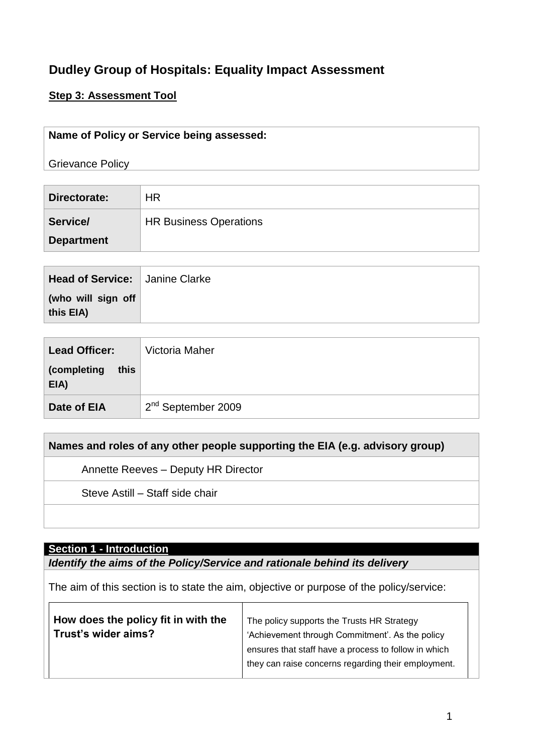## **Dudley Group of Hospitals: Equality Impact Assessment**

### **Step 3: Assessment Tool**

#### **Name of Policy or Service being assessed:**

Grievance Policy

| Directorate:      | <b>HR</b>                     |
|-------------------|-------------------------------|
| Service/          | <b>HR Business Operations</b> |
| <b>Department</b> |                               |

| (who will sign off<br>this EIA) |  |
|---------------------------------|--|

| <b>Lead Officer:</b>        | Victoria Maher                 |
|-----------------------------|--------------------------------|
| (completing<br>this<br>EIA) |                                |
| Date of EIA                 | 2 <sup>nd</sup> September 2009 |

### **Names and roles of any other people supporting the EIA (e.g. advisory group)**

Annette Reeves – Deputy HR Director

Steve Astill – Staff side chair

#### **Section 1 - Introduction**

 $\blacksquare$ 

*Identify the aims of the Policy/Service and rationale behind its delivery*

The aim of this section is to state the aim, objective or purpose of the policy/service:

| How does the policy fit in with the | The policy supports the Trusts HR Strategy           |  |  |  |
|-------------------------------------|------------------------------------------------------|--|--|--|
| Trust's wider aims?                 | 'Achievement through Commitment'. As the policy      |  |  |  |
|                                     | ensures that staff have a process to follow in which |  |  |  |
|                                     | they can raise concerns regarding their employment.  |  |  |  |
|                                     |                                                      |  |  |  |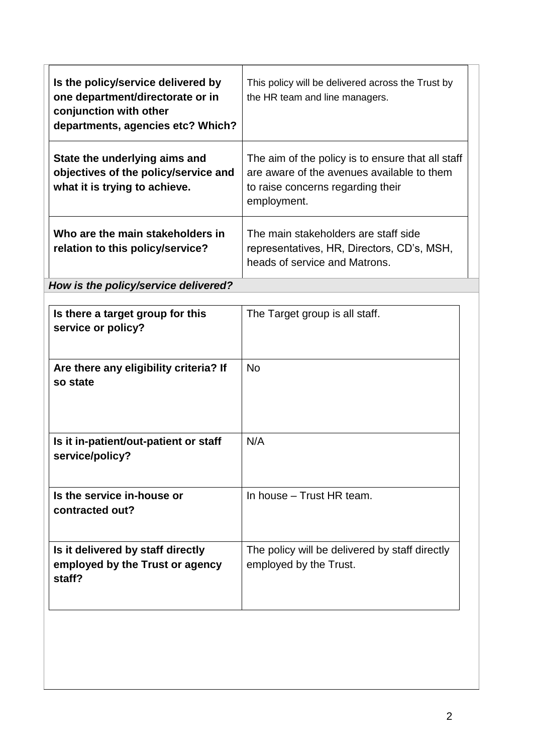| Is the policy/service delivered by<br>one department/directorate or in<br>conjunction with other<br>departments, agencies etc? Which? | This policy will be delivered across the Trust by<br>the HR team and line managers.                                                                 |
|---------------------------------------------------------------------------------------------------------------------------------------|-----------------------------------------------------------------------------------------------------------------------------------------------------|
| State the underlying aims and<br>objectives of the policy/service and<br>what it is trying to achieve.                                | The aim of the policy is to ensure that all staff<br>are aware of the avenues available to them<br>to raise concerns regarding their<br>employment. |
| Who are the main stakeholders in<br>relation to this policy/service?                                                                  | The main stakeholders are staff side<br>representatives, HR, Directors, CD's, MSH,<br>heads of service and Matrons.                                 |

*How is the policy/service delivered?*

| Is there a target group for this<br>service or policy?                         | The Target group is all staff.                                           |
|--------------------------------------------------------------------------------|--------------------------------------------------------------------------|
| Are there any eligibility criteria? If<br>so state                             | <b>No</b>                                                                |
| Is it in-patient/out-patient or staff<br>service/policy?                       | N/A                                                                      |
| Is the service in-house or<br>contracted out?                                  | In house - Trust HR team.                                                |
| Is it delivered by staff directly<br>employed by the Trust or agency<br>staff? | The policy will be delivered by staff directly<br>employed by the Trust. |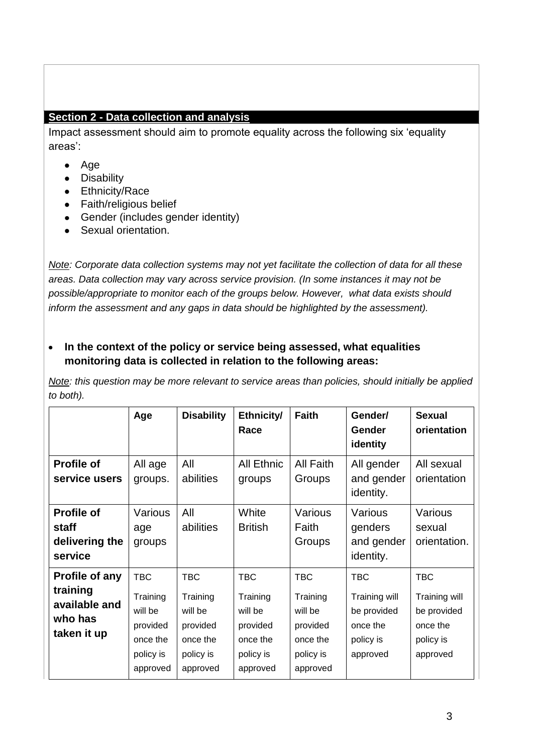### **Section 2 - Data collection and analysis**

Impact assessment should aim to promote equality across the following six 'equality areas':

- Age
- Disability
- Ethnicity/Race
- Faith/religious belief
- Gender (includes gender identity)
- Sexual orientation.

*Note: Corporate data collection systems may not yet facilitate the collection of data for all these areas. Data collection may vary across service provision. (In some instances it may not be possible/appropriate to monitor each of the groups below. However, what data exists should inform the assessment and any gaps in data should be highlighted by the assessment).* 

**In the context of the policy or service being assessed, what equalities**   $\bullet$ **monitoring data is collected in relation to the following areas:**

*Note: this question may be more relevant to service areas than policies, should initially be applied to both).*

|                                                                       | Age                                                                                | <b>Disability</b>                                                                  | Ethnicity/<br>Race                                                                 | <b>Faith</b>                                                                       | Gender/<br><b>Gender</b><br>identity                                            | <b>Sexual</b><br>orientation                                                    |
|-----------------------------------------------------------------------|------------------------------------------------------------------------------------|------------------------------------------------------------------------------------|------------------------------------------------------------------------------------|------------------------------------------------------------------------------------|---------------------------------------------------------------------------------|---------------------------------------------------------------------------------|
| <b>Profile of</b><br>service users                                    | All age<br>groups.                                                                 | All<br>abilities                                                                   | <b>All Ethnic</b><br>groups                                                        | All Faith<br>Groups                                                                | All gender<br>and gender<br>identity.                                           | All sexual<br>orientation                                                       |
| <b>Profile of</b><br>staff<br>delivering the<br>service               | Various<br>age<br>groups                                                           | All<br>abilities                                                                   | White<br><b>British</b>                                                            | Various<br>Faith<br>Groups                                                         | Various<br>genders<br>and gender<br>identity.                                   | Various<br>sexual<br>orientation.                                               |
| Profile of any<br>training<br>available and<br>who has<br>taken it up | <b>TBC</b><br>Training<br>will be<br>provided<br>once the<br>policy is<br>approved | <b>TBC</b><br>Training<br>will be<br>provided<br>once the<br>policy is<br>approved | <b>TBC</b><br>Training<br>will be<br>provided<br>once the<br>policy is<br>approved | <b>TBC</b><br>Training<br>will be<br>provided<br>once the<br>policy is<br>approved | <b>TBC</b><br>Training will<br>be provided<br>once the<br>policy is<br>approved | <b>TBC</b><br>Training will<br>be provided<br>once the<br>policy is<br>approved |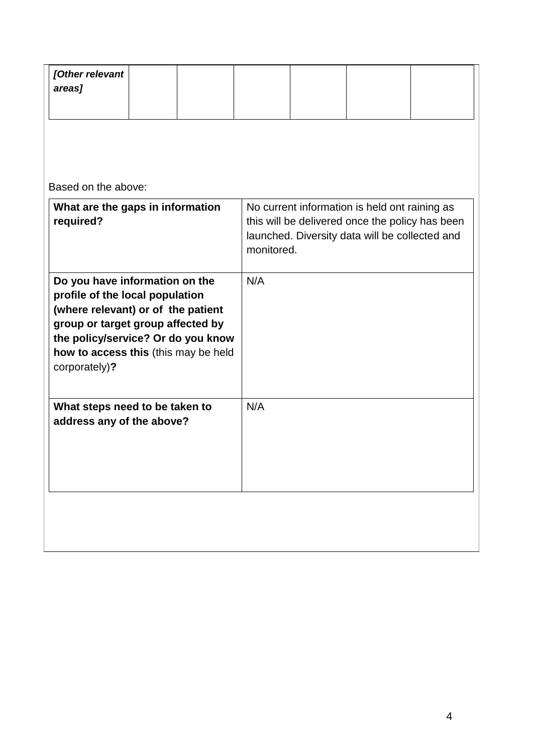| [Other relevant] |  |  |  |  |
|------------------|--|--|--|--|
| areas]           |  |  |  |  |
|                  |  |  |  |  |

Based on the above:

| What are the gaps in information<br>required?                                                                                                                                                                                               | No current information is held ont raining as<br>this will be delivered once the policy has been<br>launched. Diversity data will be collected and<br>monitored. |
|---------------------------------------------------------------------------------------------------------------------------------------------------------------------------------------------------------------------------------------------|------------------------------------------------------------------------------------------------------------------------------------------------------------------|
| Do you have information on the<br>profile of the local population<br>(where relevant) or of the patient<br>group or target group affected by<br>the policy/service? Or do you know<br>how to access this (this may be held<br>corporately)? | N/A                                                                                                                                                              |
| What steps need to be taken to<br>address any of the above?                                                                                                                                                                                 | N/A                                                                                                                                                              |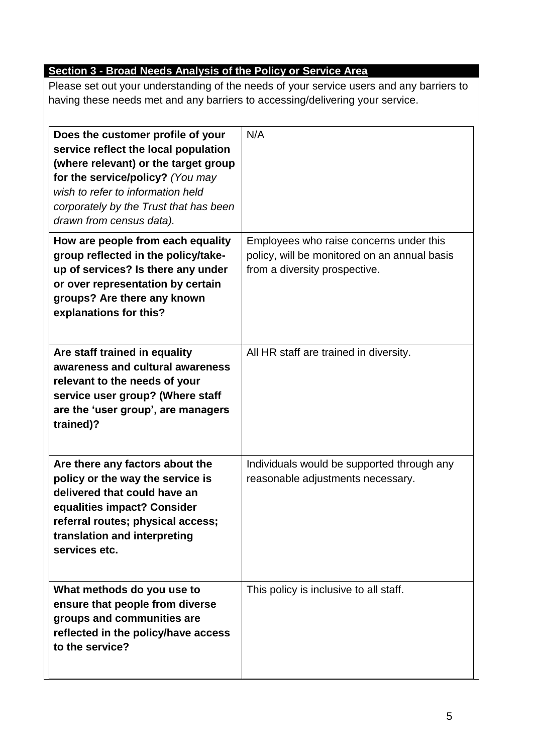## **Section 3 - Broad Needs Analysis of the Policy or Service Area**

Please set out your understanding of the needs of your service users and any barriers to having these needs met and any barriers to accessing/delivering your service.

| Does the customer profile of your<br>service reflect the local population<br>(where relevant) or the target group<br>for the service/policy? (You may<br>wish to refer to information held<br>corporately by the Trust that has been<br>drawn from census data). | N/A                                                                                                                      |
|------------------------------------------------------------------------------------------------------------------------------------------------------------------------------------------------------------------------------------------------------------------|--------------------------------------------------------------------------------------------------------------------------|
| How are people from each equality<br>group reflected in the policy/take-<br>up of services? Is there any under<br>or over representation by certain<br>groups? Are there any known<br>explanations for this?                                                     | Employees who raise concerns under this<br>policy, will be monitored on an annual basis<br>from a diversity prospective. |
| Are staff trained in equality<br>awareness and cultural awareness<br>relevant to the needs of your<br>service user group? (Where staff<br>are the 'user group', are managers<br>trained)?                                                                        | All HR staff are trained in diversity.                                                                                   |
| Are there any factors about the<br>policy or the way the service is<br>delivered that could have an<br>equalities impact? Consider<br>referral routes; physical access;<br>translation and interpreting<br>services etc.                                         | Individuals would be supported through any<br>reasonable adjustments necessary.                                          |
| What methods do you use to<br>ensure that people from diverse<br>groups and communities are<br>reflected in the policy/have access<br>to the service?                                                                                                            | This policy is inclusive to all staff.                                                                                   |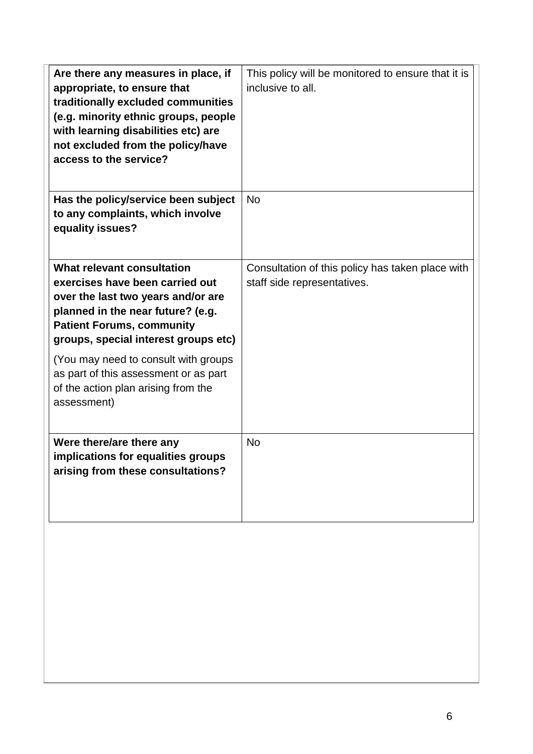| Are there any measures in place, if<br>appropriate, to ensure that<br>traditionally excluded communities<br>(e.g. minority ethnic groups, people<br>with learning disabilities etc) are<br>not excluded from the policy/have<br>access to the service? | This policy will be monitored to ensure that it is<br>inclusive to all.         |
|--------------------------------------------------------------------------------------------------------------------------------------------------------------------------------------------------------------------------------------------------------|---------------------------------------------------------------------------------|
| Has the policy/service been subject<br>to any complaints, which involve<br>equality issues?                                                                                                                                                            | <b>No</b>                                                                       |
| What relevant consultation<br>exercises have been carried out<br>over the last two years and/or are<br>planned in the near future? (e.g.<br><b>Patient Forums, community</b><br>groups, special interest groups etc)                                   | Consultation of this policy has taken place with<br>staff side representatives. |
| (You may need to consult with groups<br>as part of this assessment or as part<br>of the action plan arising from the<br>assessment)                                                                                                                    |                                                                                 |
| Were there/are there any<br>implications for equalities groups<br>arising from these consultations?                                                                                                                                                    | <b>No</b>                                                                       |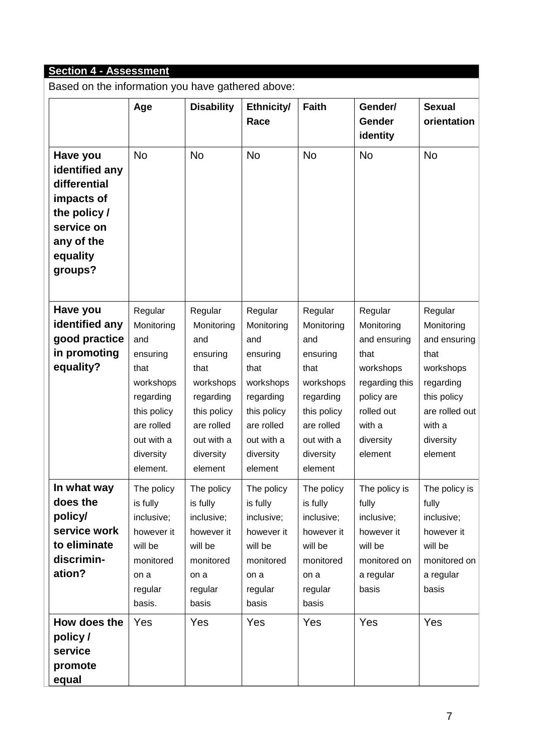# **Section 4 - Assessment**

Based on the information you have gathered above:

|                                                                                                                                                      | Age                                                                                                                                            | <b>Disability</b>                                                                                                                             | Ethnicity/<br>Race                                                                                                                            | <b>Faith</b>                                                                                                                                  | Gender/<br>Gender<br>identity                                                                                                              | <b>Sexual</b><br>orientation                                                                                                               |
|------------------------------------------------------------------------------------------------------------------------------------------------------|------------------------------------------------------------------------------------------------------------------------------------------------|-----------------------------------------------------------------------------------------------------------------------------------------------|-----------------------------------------------------------------------------------------------------------------------------------------------|-----------------------------------------------------------------------------------------------------------------------------------------------|--------------------------------------------------------------------------------------------------------------------------------------------|--------------------------------------------------------------------------------------------------------------------------------------------|
| Have you<br>identified any<br>differential<br>impacts of<br>the policy /<br>service on<br>any of the<br>equality<br>groups?                          | No                                                                                                                                             | <b>No</b>                                                                                                                                     | <b>No</b>                                                                                                                                     | <b>No</b>                                                                                                                                     | <b>No</b>                                                                                                                                  | <b>No</b>                                                                                                                                  |
| Have you<br>identified any<br>good practice<br>in promoting<br>equality?                                                                             | Regular<br>Monitoring<br>and<br>ensuring<br>that<br>workshops<br>regarding<br>this policy<br>are rolled<br>out with a<br>diversity<br>element. | Regular<br>Monitoring<br>and<br>ensuring<br>that<br>workshops<br>regarding<br>this policy<br>are rolled<br>out with a<br>diversity<br>element | Regular<br>Monitoring<br>and<br>ensuring<br>that<br>workshops<br>regarding<br>this policy<br>are rolled<br>out with a<br>diversity<br>element | Regular<br>Monitoring<br>and<br>ensuring<br>that<br>workshops<br>regarding<br>this policy<br>are rolled<br>out with a<br>diversity<br>element | Regular<br>Monitoring<br>and ensuring<br>that<br>workshops<br>regarding this<br>policy are<br>rolled out<br>with a<br>diversity<br>element | Regular<br>Monitoring<br>and ensuring<br>that<br>workshops<br>regarding<br>this policy<br>are rolled out<br>with a<br>diversity<br>element |
| In what way<br>does the<br>policy/<br>service work<br>to eliminate<br>discrimin-<br>ation?<br>How does the<br>policy/<br>service<br>promote<br>equal | The policy<br>is fully<br>inclusive;<br>however it<br>will be<br>monitored<br>on a<br>regular<br>basis.<br>Yes                                 | The policy<br>is fully<br>inclusive;<br>however it<br>will be<br>monitored<br>on a<br>regular<br>basis<br>Yes                                 | The policy<br>is fully<br>inclusive;<br>however it<br>will be<br>monitored<br>on a<br>regular<br>basis<br>Yes                                 | The policy<br>is fully<br>inclusive;<br>however it<br>will be<br>monitored<br>on a<br>regular<br>basis<br>Yes                                 | The policy is<br>fully<br>inclusive;<br>however it<br>will be<br>monitored on<br>a regular<br>basis<br>Yes                                 | The policy is<br>fully<br>inclusive;<br>however it<br>will be<br>monitored on<br>a regular<br>basis<br>Yes                                 |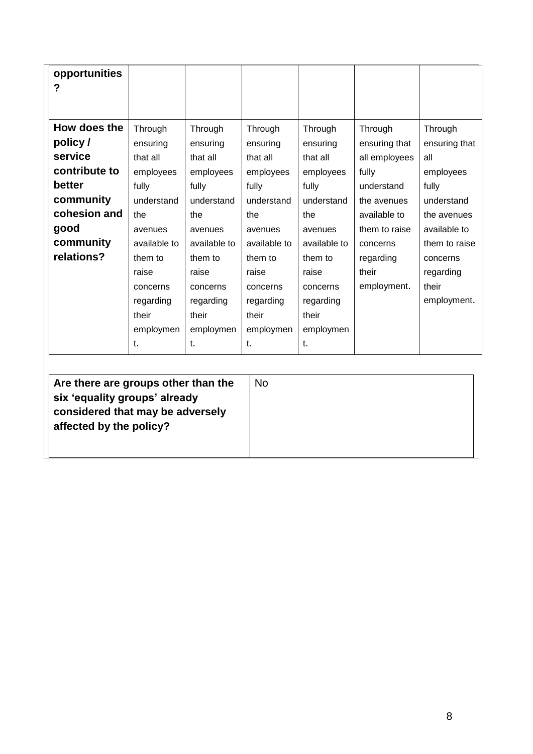| opportunities<br>? |              |              |              |              |               |               |
|--------------------|--------------|--------------|--------------|--------------|---------------|---------------|
| How does the       | Through      | Through      | Through      | Through      | Through       | Through       |
| policy/            | ensuring     | ensuring     | ensuring     | ensuring     | ensuring that | ensuring that |
| service            | that all     | that all     | that all     | that all     | all employees | all           |
| contribute to      | employees    | employees    | employees    | employees    | fully         | employees     |
| better             | fully        | fully        | fully        | fully        | understand    | fully         |
| community          | understand   | understand   | understand   | understand   | the avenues   | understand    |
| cohesion and       | the          | the          | the          | the          | available to  | the avenues   |
| good               | avenues      | avenues      | avenues      | avenues      | them to raise | available to  |
| community          | available to | available to | available to | available to | concerns      | them to raise |
| relations?         | them to      | them to      | them to      | them to      | regarding     | concerns      |
|                    | raise        | raise        | raise        | raise        | their         | regarding     |
|                    | concerns     | concerns     | concerns     | concerns     | employment.   | their         |
|                    | regarding    | regarding    | regarding    | regarding    |               | employment.   |
|                    | their        | their        | their        | their        |               |               |
|                    | employmen    | employmen    | employmen    | employmen    |               |               |
|                    | t.           | t.           | t.           | t.           |               |               |
|                    |              |              |              |              |               |               |

| Are there are groups other than the | <b>No</b> |
|-------------------------------------|-----------|
| six 'equality groups' already       |           |
|                                     |           |
| considered that may be adversely    |           |
| affected by the policy?             |           |
|                                     |           |
|                                     |           |
|                                     |           |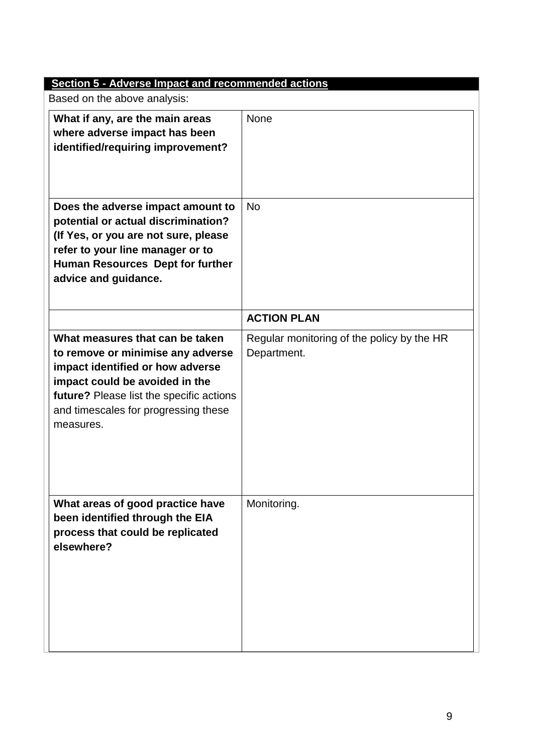| <b>Section 5 - Adverse Impact and recommended actions</b>                                                                                                                                                                                   |                                                           |
|---------------------------------------------------------------------------------------------------------------------------------------------------------------------------------------------------------------------------------------------|-----------------------------------------------------------|
| Based on the above analysis:                                                                                                                                                                                                                |                                                           |
| What if any, are the main areas<br>where adverse impact has been<br>identified/requiring improvement?                                                                                                                                       | <b>None</b>                                               |
| Does the adverse impact amount to<br>potential or actual discrimination?<br>(If Yes, or you are not sure, please<br>refer to your line manager or to<br>Human Resources Dept for further<br>advice and guidance.                            | <b>No</b>                                                 |
|                                                                                                                                                                                                                                             | <b>ACTION PLAN</b>                                        |
| What measures that can be taken<br>to remove or minimise any adverse<br>impact identified or how adverse<br>impact could be avoided in the<br>future? Please list the specific actions<br>and timescales for progressing these<br>measures. | Regular monitoring of the policy by the HR<br>Department. |
| What areas of good practice have<br>been identified through the EIA<br>process that could be replicated<br>elsewhere?                                                                                                                       | Monitoring.                                               |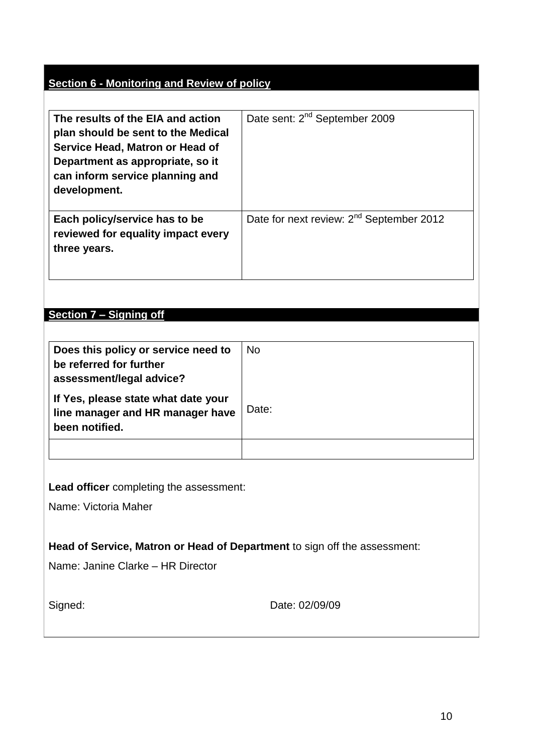### **Section 6 - Monitoring and Review of policy**

| The results of the EIA and action<br>plan should be sent to the Medical<br>Service Head, Matron or Head of<br>Department as appropriate, so it<br>can inform service planning and<br>development. | Date sent: 2 <sup>nd</sup> September 2009            |
|---------------------------------------------------------------------------------------------------------------------------------------------------------------------------------------------------|------------------------------------------------------|
| Each policy/service has to be<br>reviewed for equality impact every<br>three years.                                                                                                               | Date for next review: 2 <sup>nd</sup> September 2012 |

## **Section 7 – Signing off**

| Does this policy or service need to<br>be referred for further<br>assessment/legal advice? | <b>No</b> |
|--------------------------------------------------------------------------------------------|-----------|
| If Yes, please state what date your<br>line manager and HR manager have<br>been notified.  | Date:     |
|                                                                                            |           |

**Lead officer** completing the assessment:

Name: Victoria Maher

**Head of Service, Matron or Head of Department** to sign off the assessment:

Name: Janine Clarke – HR Director

| Signed: |
|---------|
|---------|

Date: 02/09/09